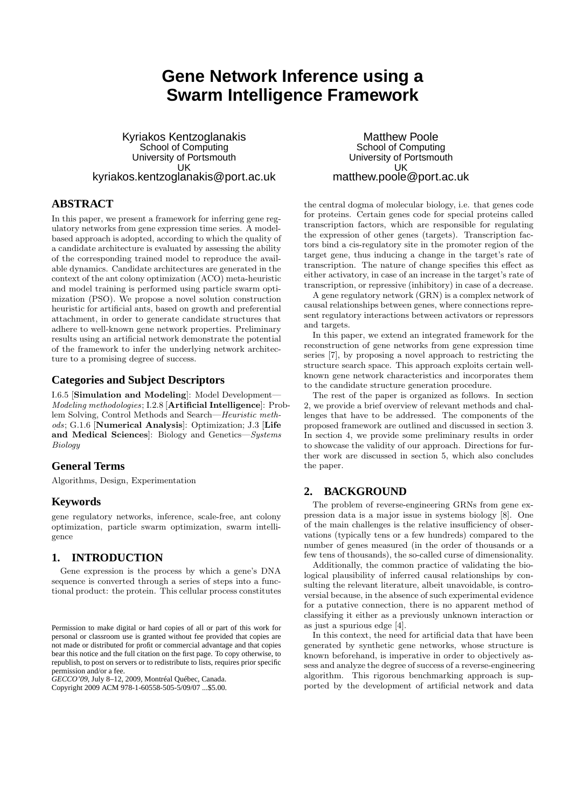# **Gene Network Inference using a Swarm Intelligence Framework**

Kyriakos Kentzoglanakis School of Computing University of Portsmouth UK kyriakos.kentzoglanakis@port.ac.uk

# **ABSTRACT**

In this paper, we present a framework for inferring gene regulatory networks from gene expression time series. A modelbased approach is adopted, according to which the quality of a candidate architecture is evaluated by assessing the ability of the corresponding trained model to reproduce the available dynamics. Candidate architectures are generated in the context of the ant colony optimization (ACO) meta-heuristic and model training is performed using particle swarm optimization (PSO). We propose a novel solution construction heuristic for artificial ants, based on growth and preferential attachment, in order to generate candidate structures that adhere to well-known gene network properties. Preliminary results using an artificial network demonstrate the potential of the framework to infer the underlying network architecture to a promising degree of success.

## **Categories and Subject Descriptors**

I.6.5 [Simulation and Modeling]: Model Development— *Modeling methodologies*; I.2.8 [Artificial Intelligence]: Problem Solving, Control Methods and Search—*Heuristic methods*; G.1.6 [Numerical Analysis]: Optimization; J.3 [Life and Medical Sciences]: Biology and Genetics—*Systems Biology*

# **General Terms**

Algorithms, Design, Experimentation

# **Keywords**

gene regulatory networks, inference, scale-free, ant colony optimization, particle swarm optimization, swarm intelligence

## **1. INTRODUCTION**

Gene expression is the process by which a gene's DNA sequence is converted through a series of steps into a functional product: the protein. This cellular process constitutes

*GECCO'09,* July 8–12, 2009, Montréal Québec, Canada.

Copyright 2009 ACM 978-1-60558-505-5/09/07 ...\$5.00.

Matthew Poole School of Computing University of Portsmouth UK matthew.poole@port.ac.uk

the central dogma of molecular biology, i.e. that genes code for proteins. Certain genes code for special proteins called transcription factors, which are responsible for regulating the expression of other genes (targets). Transcription factors bind a cis-regulatory site in the promoter region of the target gene, thus inducing a change in the target's rate of transcription. The nature of change specifies this effect as either activatory, in case of an increase in the target's rate of transcription, or repressive (inhibitory) in case of a decrease.

A gene regulatory network (GRN) is a complex network of causal relationships between genes, where connections represent regulatory interactions between activators or repressors and targets.

In this paper, we extend an integrated framework for the reconstruction of gene networks from gene expression time series [7], by proposing a novel approach to restricting the structure search space. This approach exploits certain wellknown gene network characteristics and incorporates them to the candidate structure generation procedure.

The rest of the paper is organized as follows. In section 2, we provide a brief overview of relevant methods and challenges that have to be addressed. The components of the proposed framework are outlined and discussed in section 3. In section 4, we provide some preliminary results in order to showcase the validity of our approach. Directions for further work are discussed in section 5, which also concludes the paper.

# **2. BACKGROUND**

The problem of reverse-engineering GRNs from gene expression data is a major issue in systems biology [8]. One of the main challenges is the relative insufficiency of observations (typically tens or a few hundreds) compared to the number of genes measured (in the order of thousands or a few tens of thousands), the so-called curse of dimensionality.

Additionally, the common practice of validating the biological plausibility of inferred causal relationships by consulting the relevant literature, albeit unavoidable, is controversial because, in the absence of such experimental evidence for a putative connection, there is no apparent method of classifying it either as a previously unknown interaction or as just a spurious edge [4].

In this context, the need for artificial data that have been generated by synthetic gene networks, whose structure is known beforehand, is imperative in order to objectively assess and analyze the degree of success of a reverse-engineering algorithm. This rigorous benchmarking approach is supported by the development of artificial network and data

Permission to make digital or hard copies of all or part of this work for personal or classroom use is granted without fee provided that copies are not made or distributed for profit or commercial advantage and that copies bear this notice and the full citation on the first page. To copy otherwise, to republish, to post on servers or to redistribute to lists, requires prior specific permission and/or a fee.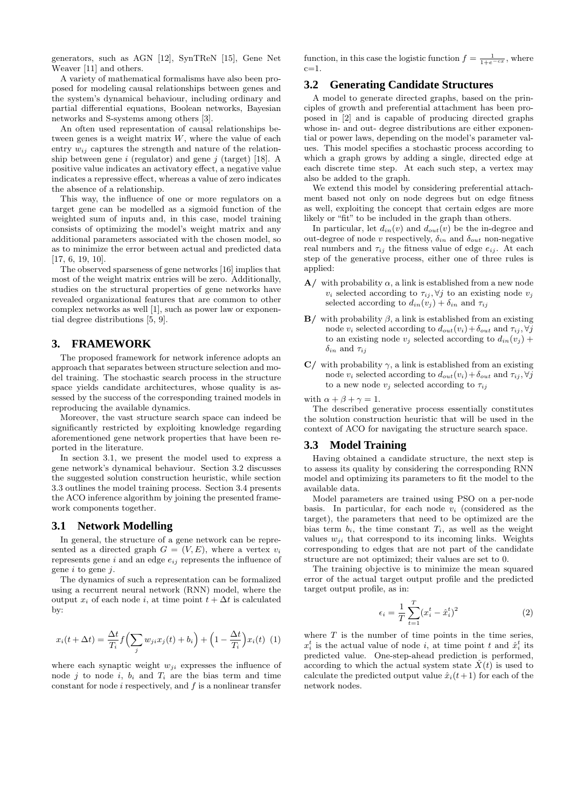generators, such as AGN [12], SynTReN [15], Gene Net Weaver [11] and others.

A variety of mathematical formalisms have also been proposed for modeling causal relationships between genes and the system's dynamical behaviour, including ordinary and partial differential equations, Boolean networks, Bayesian networks and S-systems among others [3].

An often used representation of causal relationships between genes is a weight matrix  $W$ , where the value of each entry  $w_{ij}$  captures the strength and nature of the relationship between gene i (regulator) and gene j (target) [18]. A positive value indicates an activatory effect, a negative value indicates a repressive effect, whereas a value of zero indicates the absence of a relationship.

This way, the influence of one or more regulators on a target gene can be modelled as a sigmoid function of the weighted sum of inputs and, in this case, model training consists of optimizing the model's weight matrix and any additional parameters associated with the chosen model, so as to minimize the error between actual and predicted data [17, 6, 19, 10].

The observed sparseness of gene networks [16] implies that most of the weight matrix entries will be zero. Additionally, studies on the structural properties of gene networks have revealed organizational features that are common to other complex networks as well [1], such as power law or exponential degree distributions [5, 9].

## **3. FRAMEWORK**

The proposed framework for network inference adopts an approach that separates between structure selection and model training. The stochastic search process in the structure space yields candidate architectures, whose quality is assessed by the success of the corresponding trained models in reproducing the available dynamics.

Moreover, the vast structure search space can indeed be significantly restricted by exploiting knowledge regarding aforementioned gene network properties that have been reported in the literature.

In section 3.1, we present the model used to express a gene network's dynamical behaviour. Section 3.2 discusses the suggested solution construction heuristic, while section 3.3 outlines the model training process. Section 3.4 presents the ACO inference algorithm by joining the presented framework components together.

#### **3.1 Network Modelling**

In general, the structure of a gene network can be represented as a directed graph  $G = (V, E)$ , where a vertex  $v_i$ represents gene i and an edge  $e_{ij}$  represents the influence of gene i to gene j.

The dynamics of such a representation can be formalized using a recurrent neural network (RNN) model, where the output  $x_i$  of each node i, at time point  $t + \Delta t$  is calculated by:

$$
x_i(t + \Delta t) = \frac{\Delta t}{T_i} f\left(\sum_j w_{ji} x_j(t) + b_i\right) + \left(1 - \frac{\Delta t}{T_i}\right) x_i(t) \tag{1}
$$

where each synaptic weight  $w_{ji}$  expresses the influence of node j to node i,  $b_i$  and  $T_i$  are the bias term and time constant for node  $i$  respectively, and  $f$  is a nonlinear transfer

function, in this case the logistic function  $f = \frac{1}{1+e^{-cx}}$ , where  $c=1$ .

#### **3.2 Generating Candidate Structures**

A model to generate directed graphs, based on the principles of growth and preferential attachment has been proposed in [2] and is capable of producing directed graphs whose in- and out- degree distributions are either exponential or power laws, depending on the model's parameter values. This model specifies a stochastic process according to which a graph grows by adding a single, directed edge at each discrete time step. At each such step, a vertex may also be added to the graph.

We extend this model by considering preferential attachment based not only on node degrees but on edge fitness as well, exploiting the concept that certain edges are more likely or "fit" to be included in the graph than others.

In particular, let  $d_{in}(v)$  and  $d_{out}(v)$  be the in-degree and out-degree of node v respectively,  $\delta_{in}$  and  $\delta_{out}$  non-negative real numbers and  $\tau_{ij}$  the fitness value of edge  $e_{ij}$ . At each step of the generative process, either one of three rules is applied:

- $\mathbf{A}'$  with probability  $\alpha$ , a link is established from a new node  $v_i$  selected according to  $\tau_{ij}$ ,  $\forall j$  to an existing node  $v_j$ selected according to  $d_{in}(v_j) + \delta_{in}$  and  $\tau_{ij}$
- $\mathbf{B}/\!\!$  with probability  $\beta$ , a link is established from an existing node  $v_i$  selected according to  $d_{out}(v_i)+\delta_{out}$  and  $\tau_{ij}, \forall j$ to an existing node  $v_i$  selected according to  $d_{in}(v_i)$  +  $\delta_{in}$  and  $\tau_{ij}$
- $\mathbf{C}/\;$  with probability  $\gamma,$  a link is established from an existing node  $v_i$  selected according to  $d_{out}(v_i)+\delta_{out}$  and  $\tau_{ij}, \forall j$ to a new node  $v_i$  selected according to  $\tau_{ii}$

with  $\alpha + \beta + \gamma = 1$ .

The described generative process essentially constitutes the solution construction heuristic that will be used in the context of ACO for navigating the structure search space.

# **3.3 Model Training**

Having obtained a candidate structure, the next step is to assess its quality by considering the corresponding RNN model and optimizing its parameters to fit the model to the available data.

Model parameters are trained using PSO on a per-node basis. In particular, for each node  $v_i$  (considered as the target), the parameters that need to be optimized are the bias term  $b_i$ , the time constant  $T_i$ , as well as the weight values  $w_{ji}$  that correspond to its incoming links. Weights corresponding to edges that are not part of the candidate structure are not optimized; their values are set to 0.

The training objective is to minimize the mean squared error of the actual target output profile and the predicted target output profile, as in:

$$
\epsilon_i = \frac{1}{T} \sum_{t=1}^{T} (x_i^t - \hat{x}_i^t)^2
$$
 (2)

where  $T$  is the number of time points in the time series,  $x_i^t$  is the actual value of node *i*, at time point *t* and  $\hat{x}_i^t$  its predicted value. One-step-ahead prediction is performed, according to which the actual system state  $\hat{X}(t)$  is used to calculate the predicted output value  $\hat{x}_i(t+1)$  for each of the network nodes.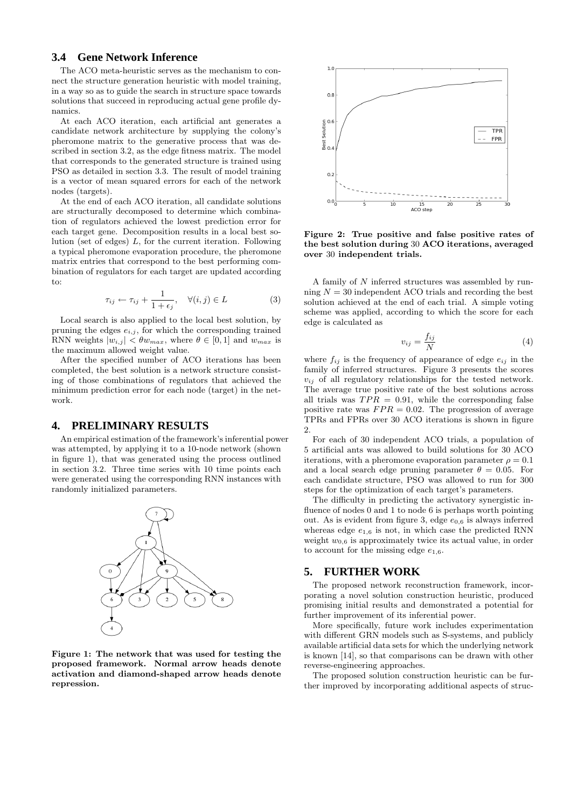# **3.4 Gene Network Inference**

The ACO meta-heuristic serves as the mechanism to connect the structure generation heuristic with model training, in a way so as to guide the search in structure space towards solutions that succeed in reproducing actual gene profile dynamics.

At each ACO iteration, each artificial ant generates a candidate network architecture by supplying the colony's pheromone matrix to the generative process that was described in section 3.2, as the edge fitness matrix. The model that corresponds to the generated structure is trained using PSO as detailed in section 3.3. The result of model training is a vector of mean squared errors for each of the network nodes (targets).

At the end of each ACO iteration, all candidate solutions are structurally decomposed to determine which combination of regulators achieved the lowest prediction error for each target gene. Decomposition results in a local best solution (set of edges)  $L$ , for the current iteration. Following a typical pheromone evaporation procedure, the pheromone matrix entries that correspond to the best performing combination of regulators for each target are updated according to:

$$
\tau_{ij} \leftarrow \tau_{ij} + \frac{1}{1 + \epsilon_j}, \quad \forall (i, j) \in L \tag{3}
$$

Local search is also applied to the local best solution, by pruning the edges  $e_{i,j}$ , for which the corresponding trained RNN weights  $|w_{i,j}| < \theta w_{max}$ , where  $\theta \in [0,1]$  and  $w_{max}$  is the maximum allowed weight value.

After the specified number of ACO iterations has been completed, the best solution is a network structure consisting of those combinations of regulators that achieved the minimum prediction error for each node (target) in the network.

## **4. PRELIMINARY RESULTS**

An empirical estimation of the framework's inferential power was attempted, by applying it to a 10-node network (shown in figure 1), that was generated using the process outlined in section 3.2. Three time series with 10 time points each were generated using the corresponding RNN instances with randomly initialized parameters.



Figure 1: The network that was used for testing the proposed framework. Normal arrow heads denote activation and diamond-shaped arrow heads denote repression.



Figure 2: True positive and false positive rates of the best solution during 30 ACO iterations, averaged over 30 independent trials.

A family of N inferred structures was assembled by running  $N = 30$  independent ACO trials and recording the best solution achieved at the end of each trial. A simple voting scheme was applied, according to which the score for each edge is calculated as

$$
v_{ij} = \frac{f_{ij}}{N} \tag{4}
$$

where  $f_{ij}$  is the frequency of appearance of edge  $e_{ij}$  in the family of inferred structures. Figure 3 presents the scores  $v_{ij}$  of all regulatory relationships for the tested network. The average true positive rate of the best solutions across all trials was  $TPR = 0.91$ , while the corresponding false positive rate was  $FPR = 0.02$ . The progression of average TPRs and FPRs over 30 ACO iterations is shown in figure 2.

For each of 30 independent ACO trials, a population of 5 artificial ants was allowed to build solutions for 30 ACO iterations, with a pheromone evaporation parameter  $\rho = 0.1$ and a local search edge pruning parameter  $\theta = 0.05$ . For each candidate structure, PSO was allowed to run for 300 steps for the optimization of each target's parameters.

The difficulty in predicting the activatory synergistic influence of nodes 0 and 1 to node 6 is perhaps worth pointing out. As is evident from figure 3, edge  $e_{0,6}$  is always inferred whereas edge  $e_{1,6}$  is not, in which case the predicted RNN weight  $w_{0,6}$  is approximately twice its actual value, in order to account for the missing edge  $e_{1,6}$ .

# **5. FURTHER WORK**

The proposed network reconstruction framework, incorporating a novel solution construction heuristic, produced promising initial results and demonstrated a potential for further improvement of its inferential power.

More specifically, future work includes experimentation with different GRN models such as S-systems, and publicly available artificial data sets for which the underlying network is known [14], so that comparisons can be drawn with other reverse-engineering approaches.

The proposed solution construction heuristic can be further improved by incorporating additional aspects of struc-